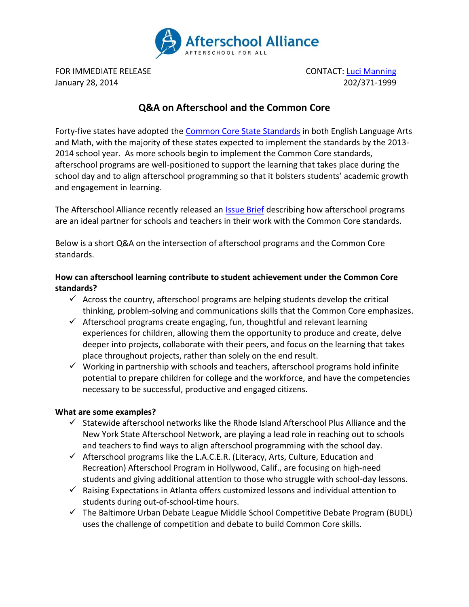

FOR IMMEDIATE RELEASE **CONTACT**: [Luci Manning](mailto:luci@prsolutionsdc.com) January 28, 2014 202/371-1999

# **Q&A on Afterschool and the Common Core**

Forty-five states have adopted the [Common Core State Standards](http://www.afterschoolalliance.org/afterschoolsnack/ASnack.cfm?idBlog=5CCB0272-215A-A6B3-02FC4D08739A8639) in both English Language Arts and Math, with the majority of these states expected to implement the standards by the 2013- 2014 school year. As more schools begin to implement the Common Core standards, afterschool programs are well-positioned to support the learning that takes place during the school day and to align afterschool programming so that it bolsters students' academic growth and engagement in learning.

The Afterschool Alliance recently released an **Issue Brief describing how afterschool programs** are an ideal partner for schools and teachers in their work with the Common Core standards.

Below is a short Q&A on the intersection of afterschool programs and the Common Core standards.

## **How can afterschool learning contribute to student achievement under the Common Core standards?**

- $\checkmark$  Across the country, afterschool programs are helping students develop the critical thinking, problem-solving and communications skills that the Common Core emphasizes.
- $\checkmark$  Afterschool programs create engaging, fun, thoughtful and relevant learning experiences for children, allowing them the opportunity to produce and create, delve deeper into projects, collaborate with their peers, and focus on the learning that takes place throughout projects, rather than solely on the end result.
- $\checkmark$  Working in partnership with schools and teachers, afterschool programs hold infinite potential to prepare children for college and the workforce, and have the competencies necessary to be successful, productive and engaged citizens.

#### **What are some examples?**

- $\checkmark$  Statewide afterschool networks like the Rhode Island Afterschool Plus Alliance and the New York State Afterschool Network, are playing a lead role in reaching out to schools and teachers to find ways to align afterschool programming with the school day.
- $\checkmark$  Afterschool programs like the L.A.C.E.R. (Literacy, Arts, Culture, Education and Recreation) Afterschool Program in Hollywood, Calif., are focusing on high-need students and giving additional attention to those who struggle with school-day lessons.
- $\checkmark$  Raising Expectations in Atlanta offers customized lessons and individual attention to students during out-of-school-time hours.
- $\checkmark$  The Baltimore Urban Debate League Middle School Competitive Debate Program (BUDL) uses the challenge of competition and debate to build Common Core skills.